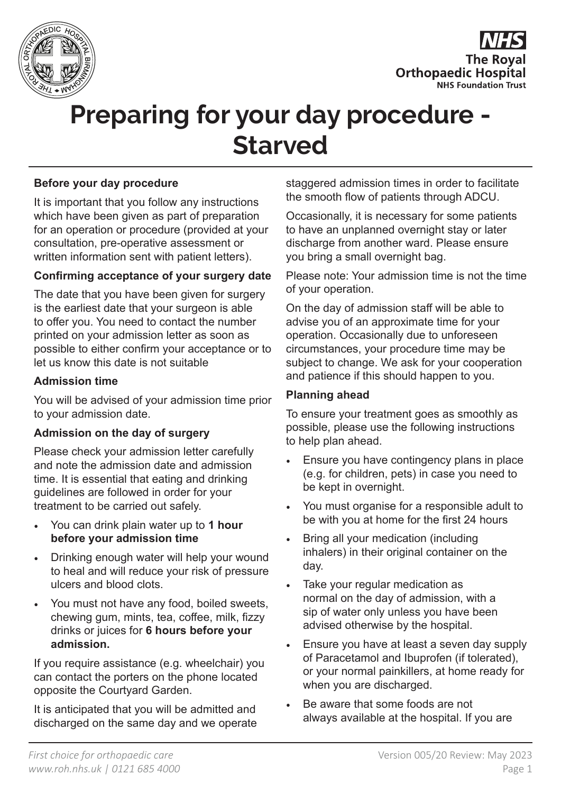



# **Preparing for your day procedure - Starved**

# **Before your day procedure**

It is important that you follow any instructions which have been given as part of preparation for an operation or procedure (provided at your consultation, pre-operative assessment or written information sent with patient letters).

# **Confirming acceptance of your surgery date**

The date that you have been given for surgery is the earliest date that your surgeon is able to offer you. You need to contact the number printed on your admission letter as soon as possible to either confirm your acceptance or to let us know this date is not suitable

# **Admission time**

You will be advised of your admission time prior to your admission date.

# **Admission on the day of surgery**

Please check your admission letter carefully and note the admission date and admission time. It is essential that eating and drinking guidelines are followed in order for your treatment to be carried out safely.

- You can drink plain water up to **1 hour before your admission time**
- Drinking enough water will help your wound to heal and will reduce your risk of pressure ulcers and blood clots.
- You must not have any food, boiled sweets, chewing gum, mints, tea, coffee, milk, fizzy drinks or juices for **6 hours before your admission.**

If you require assistance (e.g. wheelchair) you can contact the porters on the phone located opposite the Courtyard Garden.

It is anticipated that you will be admitted and discharged on the same day and we operate staggered admission times in order to facilitate the smooth flow of patients through ADCU.

Occasionally, it is necessary for some patients to have an unplanned overnight stay or later discharge from another ward. Please ensure you bring a small overnight bag.

Please note: Your admission time is not the time of your operation.

On the day of admission staff will be able to advise you of an approximate time for your operation. Occasionally due to unforeseen circumstances, your procedure time may be subject to change. We ask for your cooperation and patience if this should happen to you.

#### **Planning ahead**

To ensure your treatment goes as smoothly as possible, please use the following instructions to help plan ahead.

- Ensure you have contingency plans in place (e.g. for children, pets) in case you need to be kept in overnight.
- You must organise for a responsible adult to be with you at home for the first 24 hours
- Bring all your medication (including inhalers) in their original container on the day.
- Take your regular medication as normal on the day of admission, with a sip of water only unless you have been advised otherwise by the hospital.
- Ensure you have at least a seven day supply of Paracetamol and Ibuprofen (if tolerated), or your normal painkillers, at home ready for when you are discharged.
- Be aware that some foods are not always available at the hospital. If you are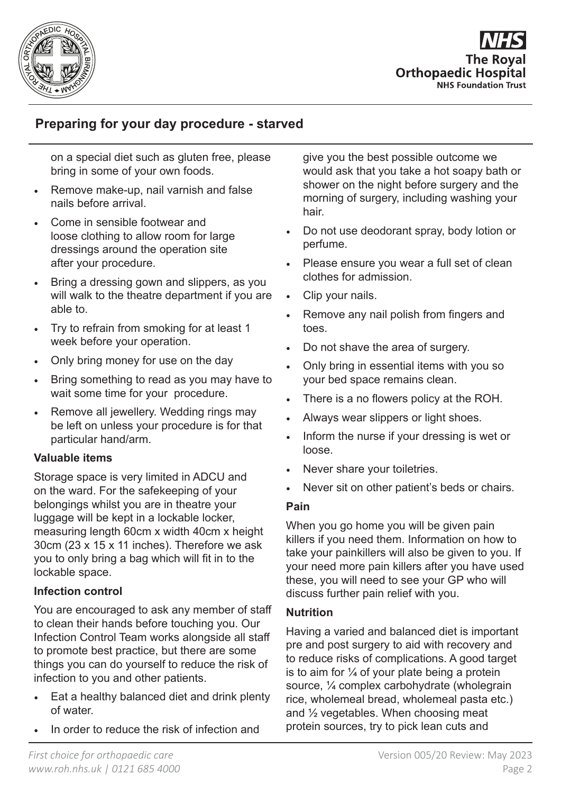

**The Roval Orthopaedic Hospital NHS Foundation Trust** 

# **Preparing for your day procedure - starved**

on a special diet such as gluten free, please bring in some of your own foods.

- Remove make-up, nail varnish and false nails before arrival.
- Come in sensible footwear and loose clothing to allow room for large dressings around the operation site after your procedure.
- Bring a dressing gown and slippers, as you will walk to the theatre department if you are able to.
- Try to refrain from smoking for at least 1 week before your operation.
- Only bring money for use on the day
- Bring something to read as you may have to wait some time for your procedure.
- Remove all jewellery. Wedding rings may be left on unless your procedure is for that particular hand/arm.

# **Valuable items**

Storage space is very limited in ADCU and on the ward. For the safekeeping of your belongings whilst you are in theatre your luggage will be kept in a lockable locker, measuring length 60cm x width 40cm x height 30cm (23 x 15 x 11 inches). Therefore we ask you to only bring a bag which will fit in to the lockable space.

# **Infection control**

You are encouraged to ask any member of staff to clean their hands before touching you. Our Infection Control Team works alongside all staff to promote best practice, but there are some things you can do yourself to reduce the risk of infection to you and other patients.

- Eat a healthy balanced diet and drink plenty of water.
- In order to reduce the risk of infection and

give you the best possible outcome we would ask that you take a hot soapy bath or shower on the night before surgery and the morning of surgery, including washing your hair.

- Do not use deodorant spray, body lotion or perfume.
- Please ensure you wear a full set of clean clothes for admission.
- Clip your nails.
- Remove any nail polish from fingers and toes.
- Do not shave the area of surgery.
- Only bring in essential items with you so your bed space remains clean.
- There is a no flowers policy at the ROH.
- Always wear slippers or light shoes.
- Inform the nurse if your dressing is wet or loose.
- Never share your toiletries.
- Never sit on other patient's beds or chairs.

# **Pain**

When you go home you will be given pain killers if you need them. Information on how to take your painkillers will also be given to you. If your need more pain killers after you have used these, you will need to see your GP who will discuss further pain relief with you.

# **Nutrition**

Having a varied and balanced diet is important pre and post surgery to aid with recovery and to reduce risks of complications. A good target is to aim for  $\frac{1}{4}$  of your plate being a protein source, ¼ complex carbohydrate (wholegrain rice, wholemeal bread, wholemeal pasta etc.) and ½ vegetables. When choosing meat protein sources, try to pick lean cuts and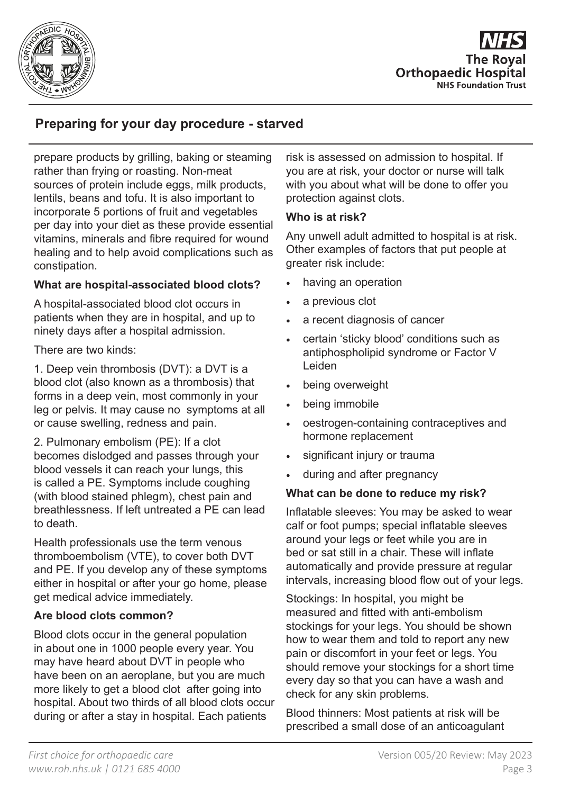

**The Roval Orthopaedic Hospital NHS Foundation Trust** 

# **Preparing for your day procedure - starved**

prepare products by grilling, baking or steaming rather than frying or roasting. Non-meat sources of protein include eggs, milk products, lentils, beans and tofu. It is also important to incorporate 5 portions of fruit and vegetables per day into your diet as these provide essential vitamins, minerals and fibre required for wound healing and to help avoid complications such as constipation.

# **What are hospital-associated blood clots?**

A hospital-associated blood clot occurs in patients when they are in hospital, and up to ninety days after a hospital admission.

There are two kinds:

1. Deep vein thrombosis (DVT): a DVT is a blood clot (also known as a thrombosis) that forms in a deep vein, most commonly in your leg or pelvis. It may cause no symptoms at all or cause swelling, redness and pain.

2. Pulmonary embolism (PE): If a clot becomes dislodged and passes through your blood vessels it can reach your lungs, this is called a PE. Symptoms include coughing (with blood stained phlegm), chest pain and breathlessness. If left untreated a PE can lead to death.

Health professionals use the term venous thromboembolism (VTE), to cover both DVT and PE. If you develop any of these symptoms either in hospital or after your go home, please get medical advice immediately.

# **Are blood clots common?**

Blood clots occur in the general population in about one in 1000 people every year. You may have heard about DVT in people who have been on an aeroplane, but you are much more likely to get a blood clot after going into hospital. About two thirds of all blood clots occur during or after a stay in hospital. Each patients

risk is assessed on admission to hospital. If you are at risk, your doctor or nurse will talk with you about what will be done to offer you protection against clots.

# **Who is at risk?**

Any unwell adult admitted to hospital is at risk. Other examples of factors that put people at greater risk include:

- having an operation
- a previous clot
- a recent diagnosis of cancer
- certain 'sticky blood' conditions such as antiphospholipid syndrome or Factor V Leiden
- being overweight
- being immobile
- oestrogen-containing contraceptives and hormone replacement
- significant injury or trauma
- during and after pregnancy

# **What can be done to reduce my risk?**

Inflatable sleeves: You may be asked to wear calf or foot pumps; special inflatable sleeves around your legs or feet while you are in bed or sat still in a chair. These will inflate automatically and provide pressure at regular intervals, increasing blood flow out of your legs.

Stockings: In hospital, you might be measured and fitted with anti-embolism stockings for your legs. You should be shown how to wear them and told to report any new pain or discomfort in your feet or legs. You should remove your stockings for a short time every day so that you can have a wash and check for any skin problems.

Blood thinners: Most patients at risk will be prescribed a small dose of an anticoagulant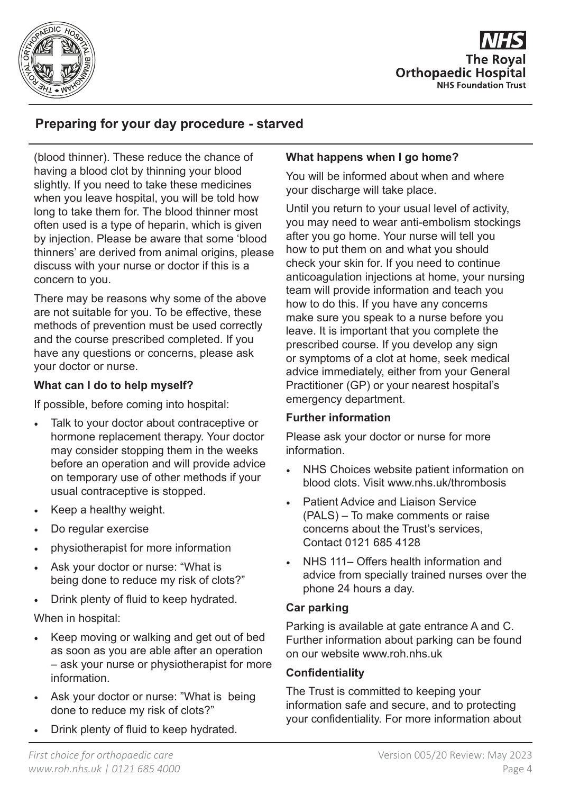

**The Roval Orthopaedic Hospital NHS Foundation Trust** 

# **Preparing for your day procedure - starved**

(blood thinner). These reduce the chance of having a blood clot by thinning your blood slightly. If you need to take these medicines when you leave hospital, you will be told how long to take them for. The blood thinner most often used is a type of heparin, which is given by injection. Please be aware that some 'blood thinners' are derived from animal origins, please discuss with your nurse or doctor if this is a concern to you.

There may be reasons why some of the above are not suitable for you. To be effective, these methods of prevention must be used correctly and the course prescribed completed. If you have any questions or concerns, please ask your doctor or nurse.

# **What can I do to help myself?**

If possible, before coming into hospital:

- Talk to your doctor about contraceptive or hormone replacement therapy. Your doctor may consider stopping them in the weeks before an operation and will provide advice on temporary use of other methods if your usual contraceptive is stopped.
- Keep a healthy weight.
- Do regular exercise
- physiotherapist for more information
- Ask your doctor or nurse: "What is being done to reduce my risk of clots?"
- Drink plenty of fluid to keep hydrated.

When in hospital:

- Keep moving or walking and get out of bed as soon as you are able after an operation – ask your nurse or physiotherapist for more information.
- Ask your doctor or nurse: "What is being done to reduce my risk of clots?"
- Drink plenty of fluid to keep hydrated.

# **What happens when I go home?**

You will be informed about when and where your discharge will take place.

Until you return to your usual level of activity, you may need to wear anti-embolism stockings after you go home. Your nurse will tell you how to put them on and what you should check your skin for. If you need to continue anticoagulation injections at home, your nursing team will provide information and teach you how to do this. If you have any concerns make sure you speak to a nurse before you leave. It is important that you complete the prescribed course. If you develop any sign or symptoms of a clot at home, seek medical advice immediately, either from your General Practitioner (GP) or your nearest hospital's emergency department.

# **Further information**

Please ask your doctor or nurse for more information.

- NHS Choices website patient information on blood clots. Visit www.nhs.uk/thrombosis
- Patient Advice and Liaison Service (PALS) – To make comments or raise concerns about the Trust's services, Contact 0121 685 4128
- NHS 111– Offers health information and advice from specially trained nurses over the phone 24 hours a day.

# **Car parking**

Parking is available at gate entrance A and C. Further information about parking can be found on our website www.roh.nhs.uk

# **Confidentiality**

The Trust is committed to keeping your information safe and secure, and to protecting your confidentiality. For more information about